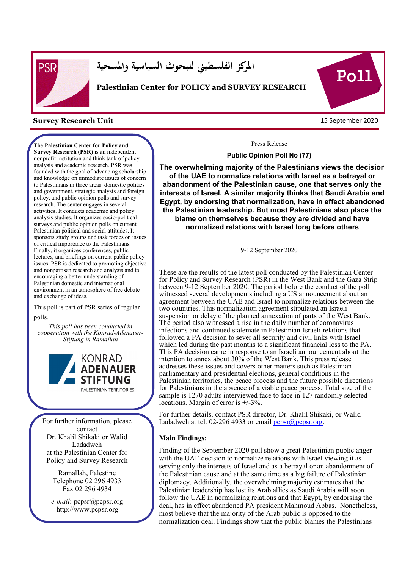

j

**المركز الفلسطيني للبحوث السياسية والمسحية** 

#### **Palestinian Center for POLICY and SURVEY RESEARCH**

#### 15 September 2020 **Survey Research Unit**

The **Palestinian Center for Policy and Survey Research (PSR)** is an independent nonprofit institution and think tank of policy analysis and academic research. PSR was founded with the goal of advancing scholarship and knowledge on immediate issues of concern to Palestinians in three areas: domestic politics and government, strategic analysis and foreign policy, and public opinion polls and survey research. The center engages in several activities. It conducts academic and policy analysis studies. It organizes socio-political surveys and public opinion polls on current Palestinian political and social attitudes. It sponsors study groups and task forces on issues of critical importance to the Palestinians. Finally, it organizes conferences, public lectures, and briefings on current public policy issues. PSR is dedicated to promoting objective and nonpartisan research and analysis and to encouraging a better understanding of Palestinian domestic and international environment in an atmosphere of free debate and exchange of ideas.

This poll is part of PSR series of regular polls.

*This poll has been conducted in cooperation with the Konrad-Adenauer-Stiftung in Ramallah* 



For further information, please contact Dr. Khalil Shikaki or Walid Ladadweh at the Palestinian Center for Policy and Survey Research

> Ramallah, Palestine Telephone 02 296 4933 Fax 02 296 4934

*e-mail*: pcpsr@pcpsr.org http://www.pcpsr.org

Pol1

Press Release

**Public Opinion Poll No (77)** 

**The overwhelming majority of the Palestinians views the decision of the UAE to normalize relations with Israel as a betrayal or abandonment of the Palestinian cause, one that serves only the interests of Israel. A similar majority thinks that Saudi Arabia and Egypt, by endorsing that normalization, have in effect abandoned the Palestinian leadership. But most Palestinians also place the blame on themselves because they are divided and have normalized relations with Israel long before others** 

9-12 September 2020

These are the results of the latest poll conducted by the Palestinian Center for Policy and Survey Research (PSR) in the West Bank and the Gaza Strip between 9-12 September 2020. The period before the conduct of the poll witnessed several developments including a US announcement about an agreement between the UAE and Israel to normalize relations between the two countries. This normalization agreement stipulated an Israeli suspension or delay of the planned annexation of parts of the West Bank. The period also witnessed a rise in the daily number of coronavirus infections and continued stalemate in Palestinian-Israeli relations that followed a PA decision to sever all security and civil links with Israel which led during the past months to a significant financial loss to the PA. This PA decision came in response to an Israeli announcement about the intention to annex about 30% of the West Bank. This press release addresses these issues and covers other matters such as Palestinian parliamentary and presidential elections, general conditions in the Palestinian territories, the peace process and the future possible directions for Palestinians in the absence of a viable peace process. Total size of the sample is 1270 adults interviewed face to face in 127 randomly selected locations. Margin of error is +/-3%.

For further details, contact PSR director, Dr. Khalil Shikaki, or Walid Ladadweh at tel. 02-296 4933 or email  $p_{\text{cpsr}}(\partial p_{\text{cpsr}})$ .org.

#### **Main Findings:**

Finding of the September 2020 poll show a great Palestinian public anger with the UAE decision to normalize relations with Israel viewing it as serving only the interests of Israel and as a betrayal or an abandonment of the Palestinian cause and at the same time as a big failure of Palestinian diplomacy. Additionally, the overwhelming majority estimates that the Palestinian leadership has lost its Arab allies as Saudi Arabia will soon follow the UAE in normalizing relations and that Egypt, by endorsing the deal, has in effect abandoned PA president Mahmoud Abbas. Nonetheless, most believe that the majority of the Arab public is opposed to the normalization deal. Findings show that the public blames the Palestinians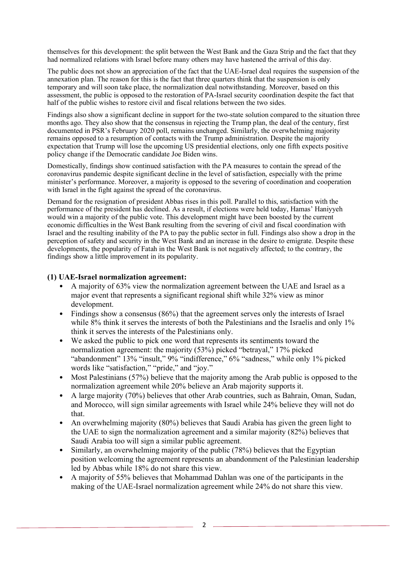themselves for this development: the split between the West Bank and the Gaza Strip and the fact that they had normalized relations with Israel before many others may have hastened the arrival of this day.

The public does not show an appreciation of the fact that the UAE-Israel deal requires the suspension of the annexation plan. The reason for this is the fact that three quarters think that the suspension is only temporary and will soon take place, the normalization deal notwithstanding. Moreover, based on this assessment, the public is opposed to the restoration of PA-Israel security coordination despite the fact that half of the public wishes to restore civil and fiscal relations between the two sides.

Findings also show a significant decline in support for the two-state solution compared to the situation three months ago. They also show that the consensus in rejecting the Trump plan, the deal of the century, first documented in PSR's February 2020 poll, remains unchanged. Similarly, the overwhelming majority remains opposed to a resumption of contacts with the Trump administration. Despite the majority expectation that Trump will lose the upcoming US presidential elections, only one fifth expects positive policy change if the Democratic candidate Joe Biden wins.

Domestically, findings show continued satisfaction with the PA measures to contain the spread of the coronavirus pandemic despite significant decline in the level of satisfaction, especially with the prime minister's performance. Moreover, a majority is opposed to the severing of coordination and cooperation with Israel in the fight against the spread of the coronavirus.

Demand for the resignation of president Abbas rises in this poll. Parallel to this, satisfaction with the performance of the president has declined. As a result, if elections were held today, Hamas' Haniyyeh would win a majority of the public vote. This development might have been boosted by the current economic difficulties in the West Bank resulting from the severing of civil and fiscal coordination with Israel and the resulting inability of the PA to pay the public sector in full. Findings also show a drop in the perception of safety and security in the West Bank and an increase in the desire to emigrate. Despite these developments, the popularity of Fatah in the West Bank is not negatively affected; to the contrary, the findings show a little improvement in its popularity.

#### **(1) UAE-Israel normalization agreement:**

- A majority of 63% view the normalization agreement between the UAE and Israel as a major event that represents a significant regional shift while 32% view as minor development.
- Findings show a consensus (86%) that the agreement serves only the interests of Israel while 8% think it serves the interests of both the Palestinians and the Israelis and only 1% think it serves the interests of the Palestinians only.
- We asked the public to pick one word that represents its sentiments toward the normalization agreement: the majority (53%) picked "betrayal," 17% picked "abandonment" 13% "insult," 9% "indifference," 6% "sadness," while only 1% picked words like "satisfaction," "pride," and "joy."
- Most Palestinians (57%) believe that the majority among the Arab public is opposed to the normalization agreement while 20% believe an Arab majority supports it.
- A large majority (70%) believes that other Arab countries, such as Bahrain, Oman, Sudan, and Morocco, will sign similar agreements with Israel while 24% believe they will not do that.
- An overwhelming majority (80%) believes that Saudi Arabia has given the green light to the UAE to sign the normalization agreement and a similar majority (82%) believes that Saudi Arabia too will sign a similar public agreement.
- Similarly, an overwhelming majority of the public (78%) believes that the Egyptian position welcoming the agreement represents an abandonment of the Palestinian leadership led by Abbas while 18% do not share this view.
- A majority of 55% believes that Mohammad Dahlan was one of the participants in the making of the UAE-Israel normalization agreement while 24% do not share this view.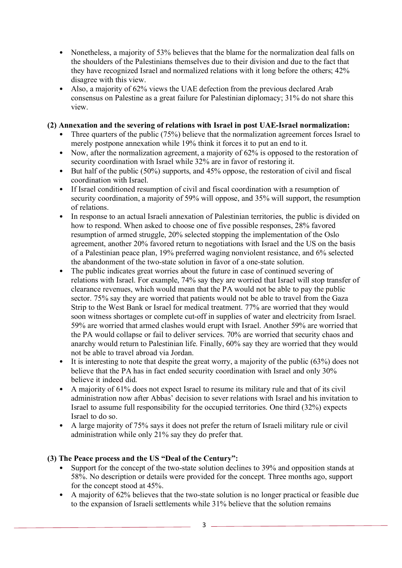- Nonetheless, a majority of 53% believes that the blame for the normalization deal falls on the shoulders of the Palestinians themselves due to their division and due to the fact that they have recognized Israel and normalized relations with it long before the others; 42% disagree with this view.
- Also, a majority of 62% views the UAE defection from the previous declared Arab consensus on Palestine as a great failure for Palestinian diplomacy; 31% do not share this view.

# **(2) Annexation and the severing of relations with Israel in post UAE-Israel normalization:**

- Three quarters of the public (75%) believe that the normalization agreement forces Israel to merely postpone annexation while 19% think it forces it to put an end to it.
- Now, after the normalization agreement, a majority of 62% is opposed to the restoration of security coordination with Israel while 32% are in favor of restoring it.
- But half of the public (50%) supports, and 45% oppose, the restoration of civil and fiscal coordination with Israel.
- If Israel conditioned resumption of civil and fiscal coordination with a resumption of security coordination, a majority of 59% will oppose, and 35% will support, the resumption of relations.
- In response to an actual Israeli annexation of Palestinian territories, the public is divided on how to respond. When asked to choose one of five possible responses, 28% favored resumption of armed struggle, 20% selected stopping the implementation of the Oslo agreement, another 20% favored return to negotiations with Israel and the US on the basis of a Palestinian peace plan, 19% preferred waging nonviolent resistance, and 6% selected the abandonment of the two-state solution in favor of a one-state solution.
- The public indicates great worries about the future in case of continued severing of relations with Israel. For example, 74% say they are worried that Israel will stop transfer of clearance revenues, which would mean that the PA would not be able to pay the public sector. 75% say they are worried that patients would not be able to travel from the Gaza Strip to the West Bank or Israel for medical treatment. 77% are worried that they would soon witness shortages or complete cut-off in supplies of water and electricity from Israel. 59% are worried that armed clashes would erupt with Israel. Another 59% are worried that the PA would collapse or fail to deliver services. 70% are worried that security chaos and anarchy would return to Palestinian life. Finally, 60% say they are worried that they would not be able to travel abroad via Jordan.
- It is interesting to note that despite the great worry, a majority of the public (63%) does not believe that the PA has in fact ended security coordination with Israel and only 30% believe it indeed did.
- A majority of 61% does not expect Israel to resume its military rule and that of its civil administration now after Abbas' decision to sever relations with Israel and his invitation to Israel to assume full responsibility for the occupied territories. One third (32%) expects Israel to do so.
- A large majority of 75% says it does not prefer the return of Israeli military rule or civil administration while only 21% say they do prefer that.

# **(3) The Peace process and the US "Deal of the Century":**

- Support for the concept of the two-state solution declines to 39% and opposition stands at 58%. No description or details were provided for the concept. Three months ago, support for the concept stood at 45%.
- A majority of 62% believes that the two-state solution is no longer practical or feasible due to the expansion of Israeli settlements while 31% believe that the solution remains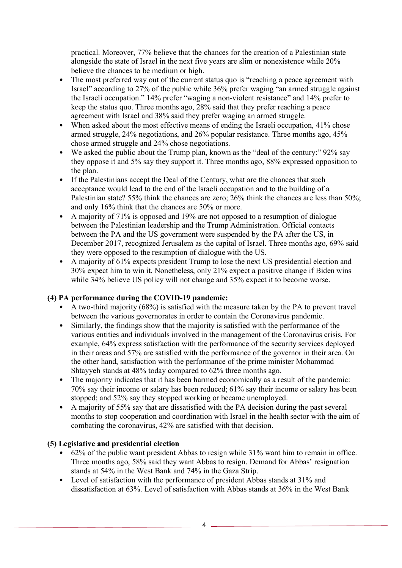practical. Moreover, 77% believe that the chances for the creation of a Palestinian state alongside the state of Israel in the next five years are slim or nonexistence while 20% believe the chances to be medium or high.

- The most preferred way out of the current status quo is "reaching a peace agreement with Israel" according to 27% of the public while 36% prefer waging "an armed struggle against the Israeli occupation." 14% prefer "waging a non-violent resistance" and 14% prefer to keep the status quo. Three months ago, 28% said that they prefer reaching a peace agreement with Israel and 38% said they prefer waging an armed struggle.
- When asked about the most effective means of ending the Israeli occupation, 41% chose armed struggle, 24% negotiations, and 26% popular resistance. Three months ago, 45% chose armed struggle and 24% chose negotiations.
- We asked the public about the Trump plan, known as the "deal of the century:" 92% say they oppose it and 5% say they support it. Three months ago, 88% expressed opposition to the plan.
- If the Palestinians accept the Deal of the Century, what are the chances that such acceptance would lead to the end of the Israeli occupation and to the building of a Palestinian state? 55% think the chances are zero; 26% think the chances are less than 50%; and only 16% think that the chances are 50% or more.
- A majority of 71% is opposed and 19% are not opposed to a resumption of dialogue between the Palestinian leadership and the Trump Administration. Official contacts between the PA and the US government were suspended by the PA after the US, in December 2017, recognized Jerusalem as the capital of Israel. Three months ago, 69% said they were opposed to the resumption of dialogue with the US.
- A majority of 61% expects president Trump to lose the next US presidential election and 30% expect him to win it. Nonetheless, only 21% expect a positive change if Biden wins while  $34\%$  believe US policy will not change and  $35\%$  expect it to become worse.

# **(4) PA performance during the COVID-19 pandemic:**

- A two-third majority (68%) is satisfied with the measure taken by the PA to prevent travel between the various governorates in order to contain the Coronavirus pandemic.
- Similarly, the findings show that the majority is satisfied with the performance of the various entities and individuals involved in the management of the Coronavirus crisis. For example, 64% express satisfaction with the performance of the security services deployed in their areas and 57% are satisfied with the performance of the governor in their area. On the other hand, satisfaction with the performance of the prime minister Mohammad Shtayyeh stands at 48% today compared to 62% three months ago.
- The majority indicates that it has been harmed economically as a result of the pandemic: 70% say their income or salary has been reduced; 61% say their income or salary has been stopped; and 52% say they stopped working or became unemployed.
- A majority of 55% say that are dissatisfied with the PA decision during the past several months to stop cooperation and coordination with Israel in the health sector with the aim of combating the coronavirus, 42% are satisfied with that decision.

# **(5) Legislative and presidential election**

- 62% of the public want president Abbas to resign while 31% want him to remain in office. Three months ago, 58% said they want Abbas to resign. Demand for Abbas' resignation stands at 54% in the West Bank and 74% in the Gaza Strip.
- Level of satisfaction with the performance of president Abbas stands at 31% and dissatisfaction at 63%. Level of satisfaction with Abbas stands at 36% in the West Bank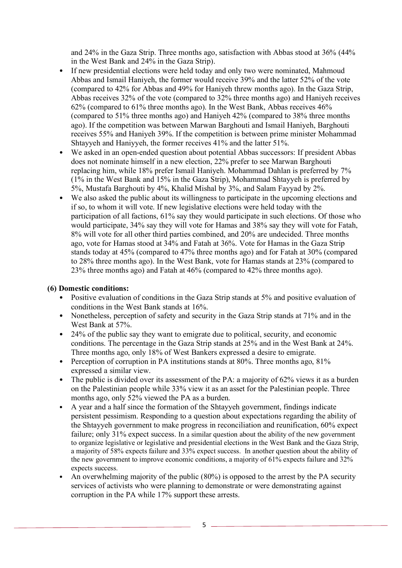and 24% in the Gaza Strip. Three months ago, satisfaction with Abbas stood at 36% (44% in the West Bank and 24% in the Gaza Strip).

- If new presidential elections were held today and only two were nominated, Mahmoud Abbas and Ismail Haniyeh, the former would receive 39% and the latter 52% of the vote (compared to 42% for Abbas and 49% for Haniyeh threw months ago). In the Gaza Strip, Abbas receives 32% of the vote (compared to 32% three months ago) and Haniyeh receives 62% (compared to 61% three months ago). In the West Bank, Abbas receives 46% (compared to 51% three months ago) and Haniyeh 42% (compared to 38% three months ago). If the competition was between Marwan Barghouti and Ismail Haniyeh, Barghouti receives 55% and Haniyeh 39%. If the competition is between prime minister Mohammad Shtayyeh and Haniyyeh, the former receives 41% and the latter 51%.
- We asked in an open-ended question about potential Abbas successors: If president Abbas does not nominate himself in a new election, 22% prefer to see Marwan Barghouti replacing him, while 18% prefer Ismail Haniyeh. Mohammad Dahlan is preferred by 7% (1% in the West Bank and 15% in the Gaza Strip), Mohammad Shtayyeh is preferred by 5%, Mustafa Barghouti by 4%, Khalid Mishal by 3%, and Salam Fayyad by 2%.
- We also asked the public about its willingness to participate in the upcoming elections and if so, to whom it will vote. If new legislative elections were held today with the participation of all factions, 61% say they would participate in such elections. Of those who would participate, 34% say they will vote for Hamas and 38% say they will vote for Fatah, 8% will vote for all other third parties combined, and 20% are undecided. Three months ago, vote for Hamas stood at 34% and Fatah at 36%. Vote for Hamas in the Gaza Strip stands today at 45% (compared to 47% three months ago) and for Fatah at 30% (compared to 28% three months ago). In the West Bank, vote for Hamas stands at 23% (compared to 23% three months ago) and Fatah at 46% (compared to 42% three months ago).

#### **(6) Domestic conditions:**

- Positive evaluation of conditions in the Gaza Strip stands at 5% and positive evaluation of conditions in the West Bank stands at 16%.
- Nonetheless, perception of safety and security in the Gaza Strip stands at 71% and in the West Bank at 57%.
- 24% of the public say they want to emigrate due to political, security, and economic conditions. The percentage in the Gaza Strip stands at 25% and in the West Bank at 24%. Three months ago, only 18% of West Bankers expressed a desire to emigrate.
- Perception of corruption in PA institutions stands at 80%. Three months ago, 81% expressed a similar view.
- The public is divided over its assessment of the PA: a majority of 62% views it as a burden on the Palestinian people while 33% view it as an asset for the Palestinian people. Three months ago, only 52% viewed the PA as a burden.
- A year and a half since the formation of the Shtayyeh government, findings indicate persistent pessimism. Responding to a question about expectations regarding the ability of the Shtayyeh government to make progress in reconciliation and reunification, 60% expect failure; only 31% expect success. In a similar question about the ability of the new government to organize legislative or legislative and presidential elections in the West Bank and the Gaza Strip, a majority of 58% expects failure and 33% expect success. In another question about the ability of the new government to improve economic conditions, a majority of 61% expects failure and 32% expects success.
- An overwhelming majority of the public (80%) is opposed to the arrest by the PA security services of activists who were planning to demonstrate or were demonstrating against corruption in the PA while 17% support these arrests.